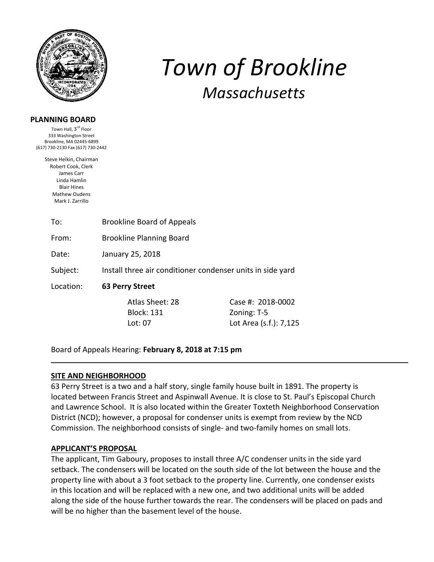

## **PLANNING BOARD**

Town Hall, 3<sup>rd</sup> Floor 333 Washington Street Brookline, MA 02445‐6899 (617) 730‐2130 Fax (617) 730‐2442

> Steve Heikin, Chairman Robert Cook, Clerk James Carr Linda Hamlin Blair Hines Mathew Oudens Mark J. Zarrillo

> > To: Brookline Board of Appeals

From: Brookline Planning Board

Date: January 25, 2018

Subject: Install three air conditioner condenser units in side yard

## Location: **63 Perry Street**

Block: 131 Zoning: T‐5

 Atlas Sheet: 28 Case #: 2018‐0002 Lot: 07 Lot Area (s.f.): 7,125

*Town of Brookline*

*Massachusetts*

Board of Appeals Hearing: **February 8, 2018 at 7:15 pm**

## **SITE AND NEIGHBORHOOD**

63 Perry Street is a two and a half story, single family house built in 1891. The property is located between Francis Street and Aspinwall Avenue. It is close to St. Paul's Episcopal Church and Lawrence School. It is also located within the Greater Toxteth Neighborhood Conservation District (NCD); however, a proposal for condenser units is exempt from review by the NCD Commission. The neighborhood consists of single‐ and two‐family homes on small lots.

## **APPLICANT'S PROPOSAL**

The applicant, Tim Gaboury, proposes to install three A/C condenser units in the side yard setback. The condensers will be located on the south side of the lot between the house and the property line with about a 3 foot setback to the property line. Currently, one condenser exists in this location and will be replaced with a new one, and two additional units will be added along the side of the house further towards the rear. The condensers will be placed on pads and will be no higher than the basement level of the house.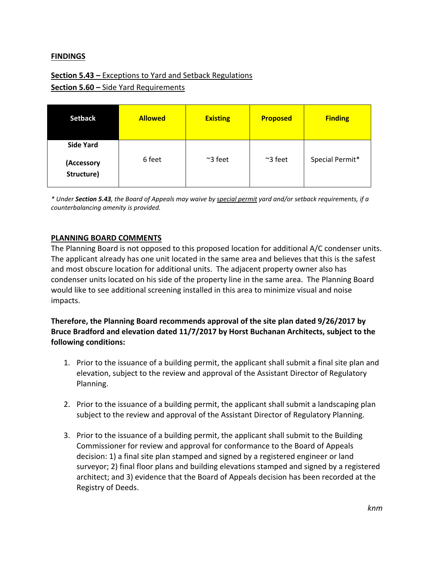## **FINDINGS**

# **Section 5.43 –** Exceptions to Yard and Setback Regulations **Section 5.60 –** Side Yard Requirements

| <b>Setback</b>                               | <b>Allowed</b> | <b>Existing</b>    | <b>Proposed</b>    | <b>Finding</b>  |
|----------------------------------------------|----------------|--------------------|--------------------|-----------------|
| <b>Side Yard</b><br>(Accessory<br>Structure) | 6 feet         | $~\tilde{}$ 3 feet | $~\tilde{}$ 3 feet | Special Permit* |

\* Under Section 5.43, the Board of Appeals may waive by special permit yard and/or setback requirements, if a *counterbalancing amenity is provided.* 

## **PLANNING BOARD COMMENTS**

The Planning Board is not opposed to this proposed location for additional A/C condenser units. The applicant already has one unit located in the same area and believes that this is the safest and most obscure location for additional units. The adjacent property owner also has condenser units located on his side of the property line in the same area. The Planning Board would like to see additional screening installed in this area to minimize visual and noise impacts.

## **Therefore, the Planning Board recommends approval of the site plan dated 9/26/2017 by Bruce Bradford and elevation dated 11/7/2017 by Horst Buchanan Architects, subject to the following conditions:**

- 1. Prior to the issuance of a building permit, the applicant shall submit a final site plan and elevation, subject to the review and approval of the Assistant Director of Regulatory Planning.
- 2. Prior to the issuance of a building permit, the applicant shall submit a landscaping plan subject to the review and approval of the Assistant Director of Regulatory Planning.
- 3. Prior to the issuance of a building permit, the applicant shall submit to the Building Commissioner for review and approval for conformance to the Board of Appeals decision: 1) a final site plan stamped and signed by a registered engineer or land surveyor; 2) final floor plans and building elevations stamped and signed by a registered architect; and 3) evidence that the Board of Appeals decision has been recorded at the Registry of Deeds.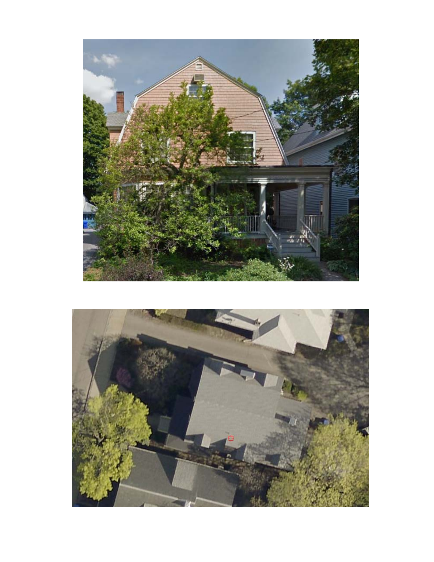

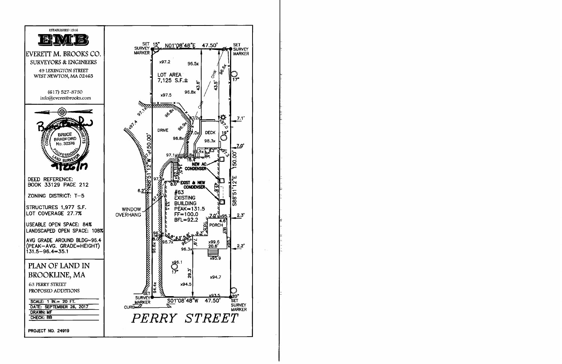

 $\Delta_{\rm eff}$